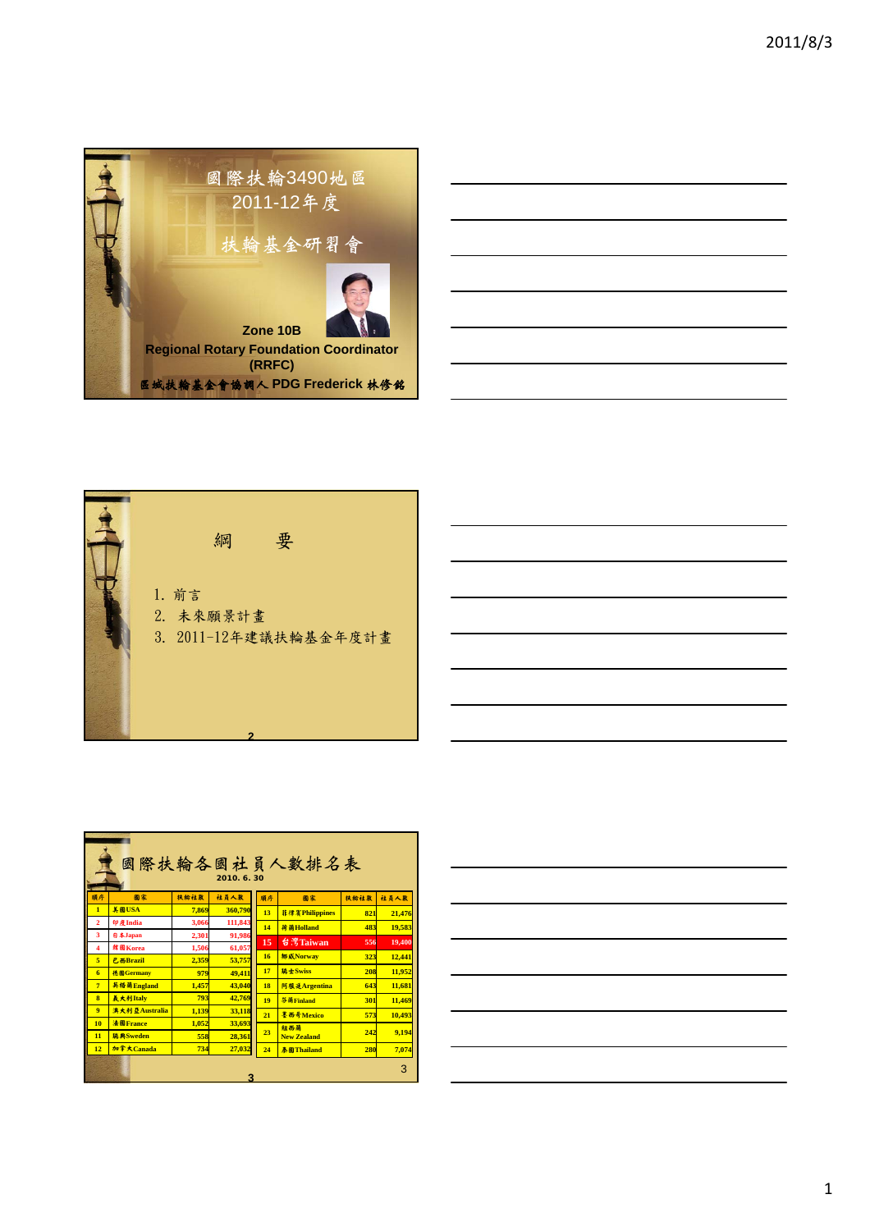





| 國際扶輪各國社員人數排名表<br>2010. 6. 30 |                 |       |         |    |                       |      |        |  |  |  |
|------------------------------|-----------------|-------|---------|----|-----------------------|------|--------|--|--|--|
| 順序                           | 圖家              | 扶給社數  | 社員人数    | 順序 | 圖家                    | 扶給社數 | 社員人数   |  |  |  |
| $\mathbf{1}$                 | <b>美國USA</b>    | 7.869 | 360,790 | 13 | <b>菲律賓Philippines</b> | 821  | 21.476 |  |  |  |
| $\overline{2}$               | 印度India         | 3.066 | 111,843 | 14 | 荷蘭Holland             | 483  | 19,583 |  |  |  |
| $\overline{3}$               | 日本Japan         | 2.301 | 91,986  | 15 | 台灣Taiwan              | 556  | 19,400 |  |  |  |
| $\overline{\mathbf{4}}$      | 就图Korea         | 1.506 | 61,057  |    |                       |      |        |  |  |  |
| $\overline{\mathbf{s}}$      | <b>乙西Brazil</b> | 2.359 | 53.757  | 16 | <b>挪威Norway</b>       | 323  | 12,441 |  |  |  |
| 6                            | 德國Germany       | 979   | 49,411  | 17 | 瑞士Swiss               | 208  | 11.952 |  |  |  |
| $\overline{7}$               | 英格蘭England      | 1.457 | 43.040  | 18 | 阿根廷Argentina          | 643  | 11.681 |  |  |  |
| $\overline{\mathbf{a}}$      | <i>る大利Italv</i> | 793   | 42,769  | 19 | 芬蘭Finland             | 301  | 11.469 |  |  |  |
| 9                            | 溴大利亞Australia   | 1.139 | 33.118  | 21 | 墨西哥Mexico             | 573  | 10.493 |  |  |  |
| 10                           | 法图France        | 1.052 | 33.693  |    | 紐西蘭                   |      |        |  |  |  |
| 11                           | 瑞典Sweden        | 558   | 28,361  | 23 | <b>New Zealand</b>    | 242  | 9.194  |  |  |  |
| 12                           | 加拿大Canada       | 734   | 27,032  | 24 | <b>泰國Thailand</b>     | 280  | 7,074  |  |  |  |
|                              | 3<br>2          |       |         |    |                       |      |        |  |  |  |

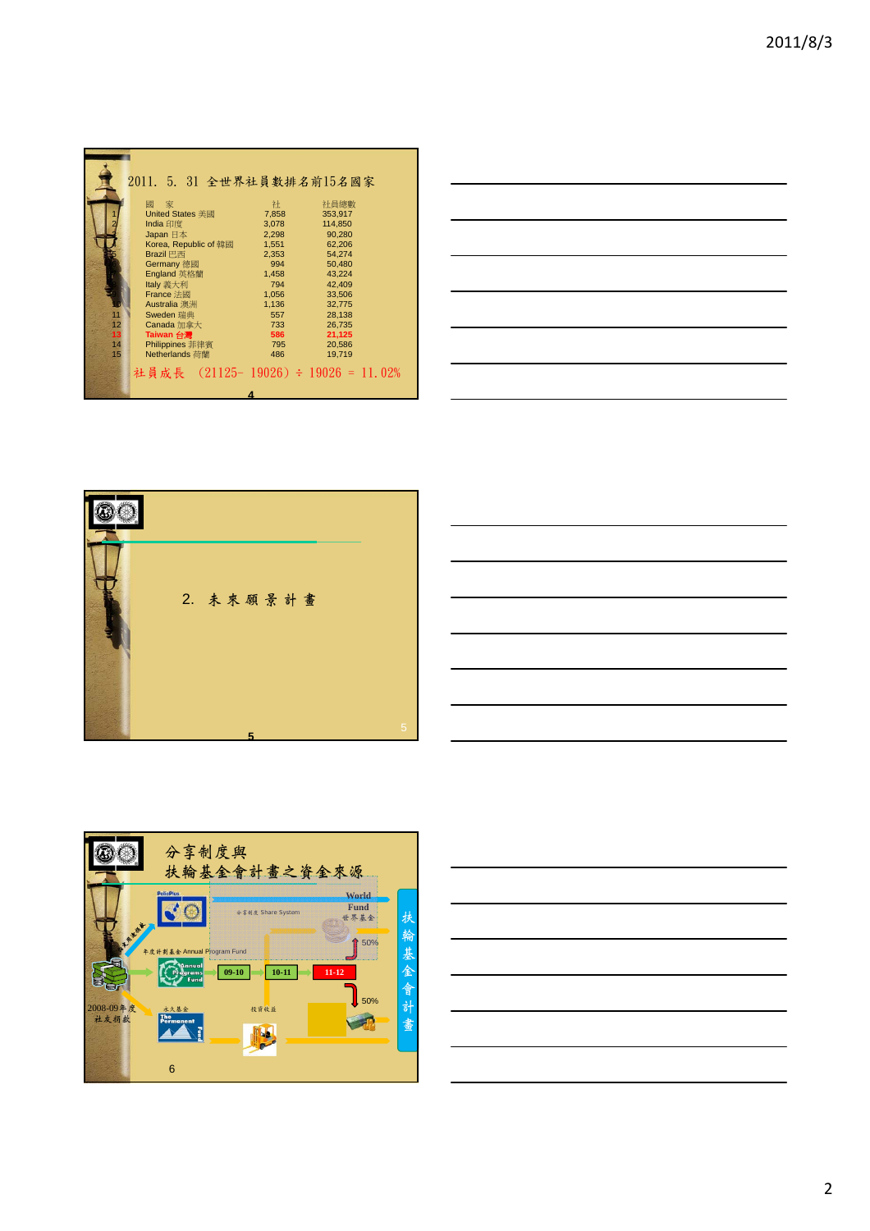|    | 2011. 5. 31 全世界社員數排名前15名國家          |       |         |  |  |  |  |  |  |
|----|-------------------------------------|-------|---------|--|--|--|--|--|--|
|    | 家<br>國                              | 社     | 社員總數    |  |  |  |  |  |  |
|    | <b>United States 美國</b>             | 7.858 | 353.917 |  |  |  |  |  |  |
|    | India 印度                            | 3,078 | 114,850 |  |  |  |  |  |  |
|    | Japan 日本                            | 2.298 | 90.280  |  |  |  |  |  |  |
|    | Korea, Republic of 韓國               | 1.551 | 62,206  |  |  |  |  |  |  |
|    | Brazil 巴西                           | 2,353 | 54,274  |  |  |  |  |  |  |
|    | <b>Germany 德國</b>                   | 994   | 50.480  |  |  |  |  |  |  |
|    | England 英格蘭                         | 1,458 | 43.224  |  |  |  |  |  |  |
|    | Italy 義大利                           | 794   | 42,409  |  |  |  |  |  |  |
|    | France 法國                           | 1.056 | 33.506  |  |  |  |  |  |  |
|    | Australia 澳洲                        | 1,136 | 32.775  |  |  |  |  |  |  |
| 11 | Sweden 瑞典                           | 557   | 28.138  |  |  |  |  |  |  |
| 12 | Canada 加拿大                          | 733   | 26,735  |  |  |  |  |  |  |
| 13 | <b>Taiwan 台灣</b>                    | 586   | 21,125  |  |  |  |  |  |  |
| 14 | Philippines 菲律賓                     | 795   | 20,586  |  |  |  |  |  |  |
| 15 | Netherlands 荷蘭                      | 486   | 19.719  |  |  |  |  |  |  |
|    | 社員成長 (21125-19026) ÷ 19026 = 11.02% |       |         |  |  |  |  |  |  |
|    |                                     |       |         |  |  |  |  |  |  |









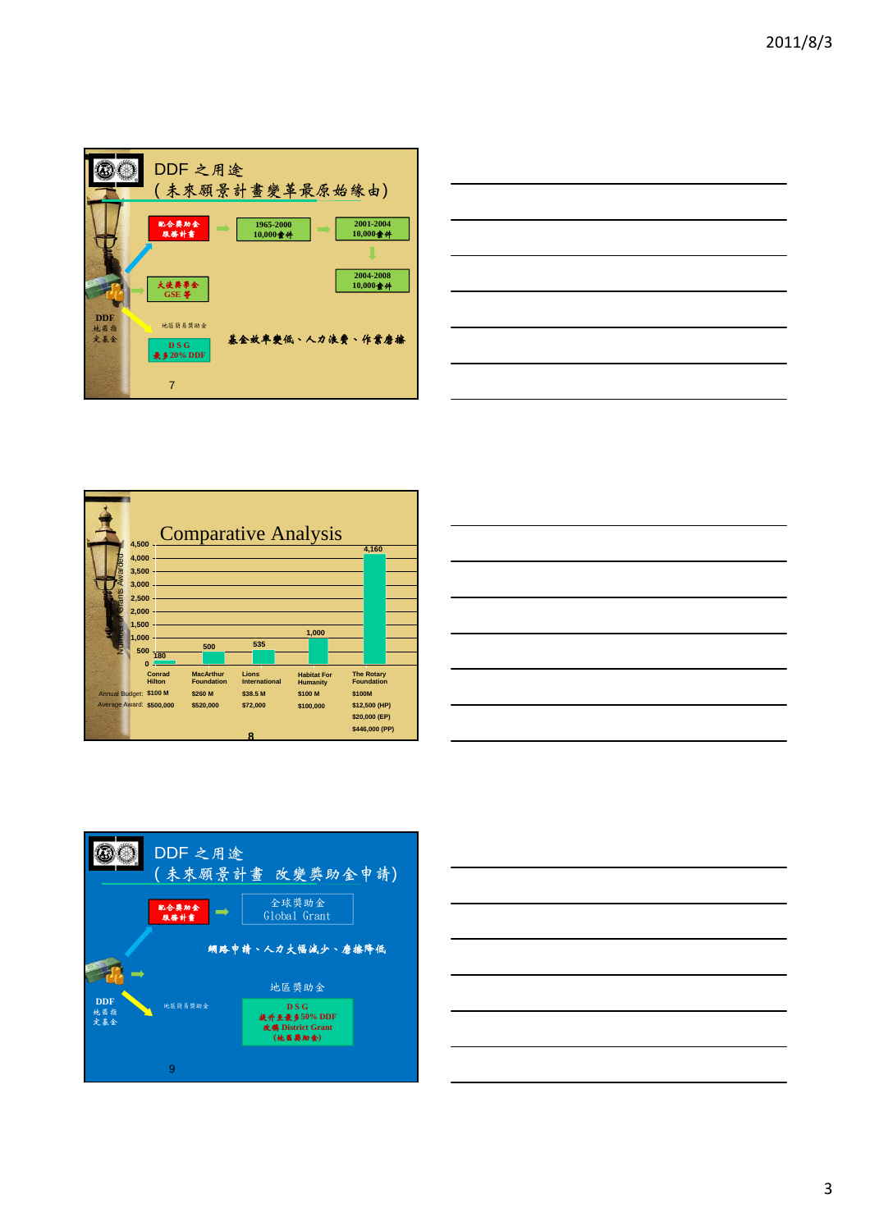









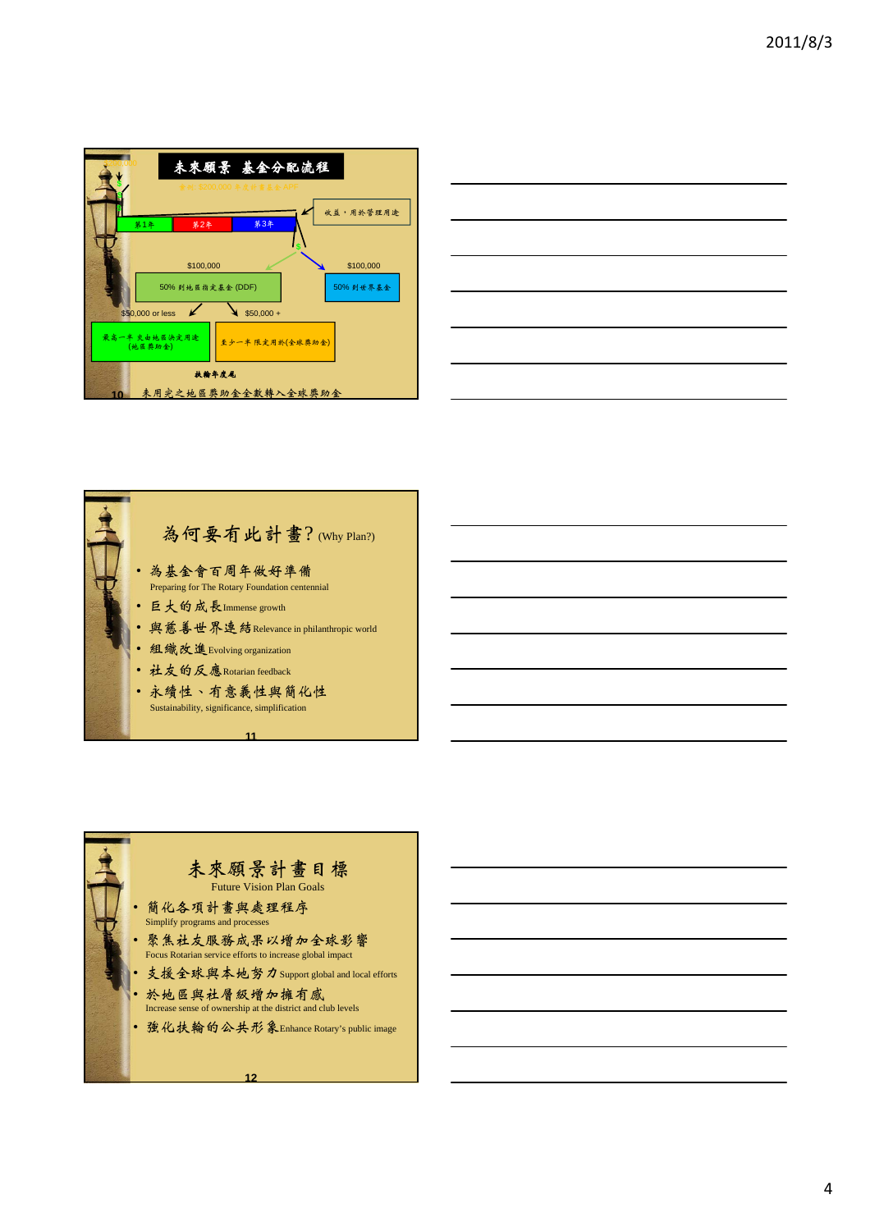|                                              | 未來願景 基金分配流程<br>素例: \$200,000 年度計畫基金 APF |                                 |                       |  |  |  |  |
|----------------------------------------------|-----------------------------------------|---------------------------------|-----------------------|--|--|--|--|
| 第1年                                          | 第2年                                     | 第3年                             | 收益,用於管理用途             |  |  |  |  |
|                                              | \$100,000<br>50% 到地医指定基金 (DDF)          |                                 | \$100,000<br>50%到世界基金 |  |  |  |  |
| \$50,000 or less<br>最高一半 交由地医决定用途<br>(地医粪助金) |                                         | $$50,000 +$<br>至少一半 限定用於(全球獎助金) |                       |  |  |  |  |
| 扶輪牛皮尾<br>未用完之地區獎助金全數轉入全球獎助金<br>10            |                                         |                                 |                       |  |  |  |  |





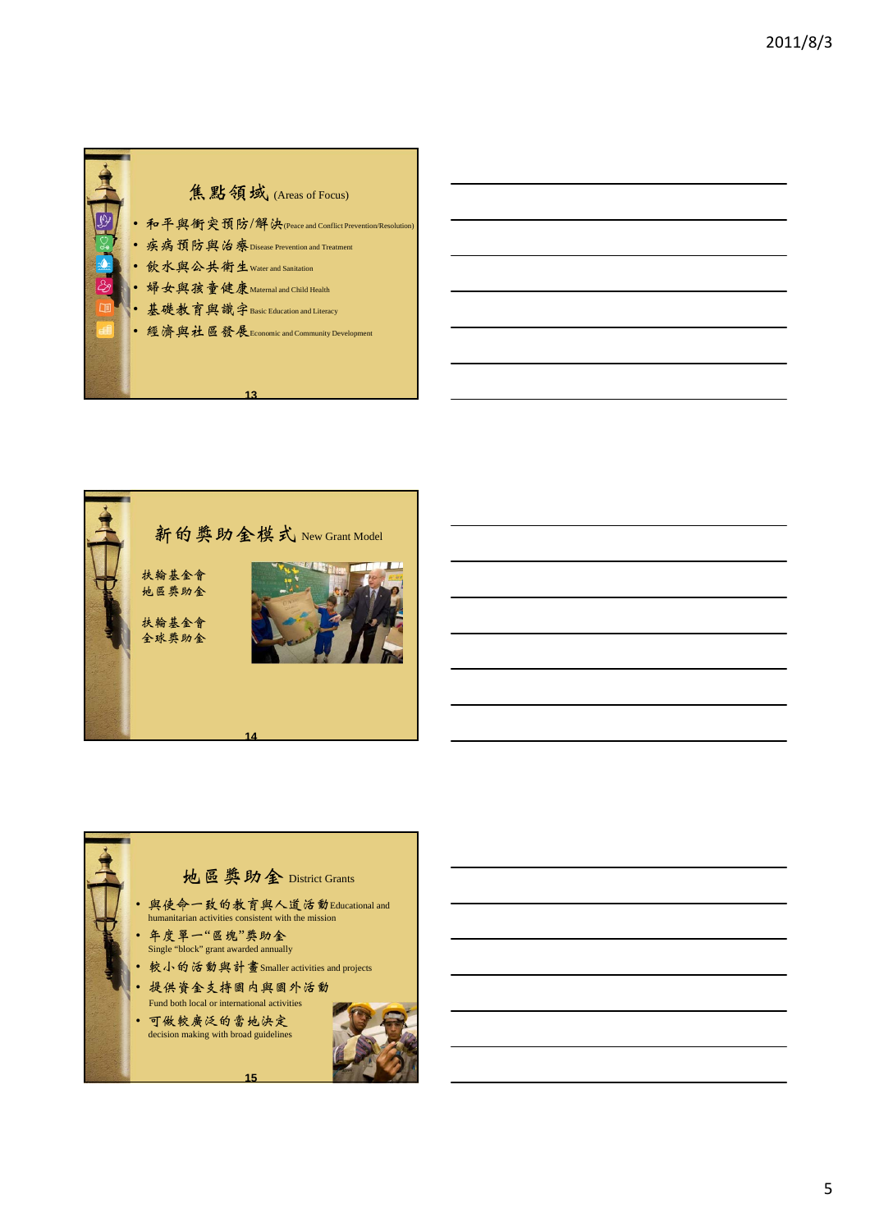



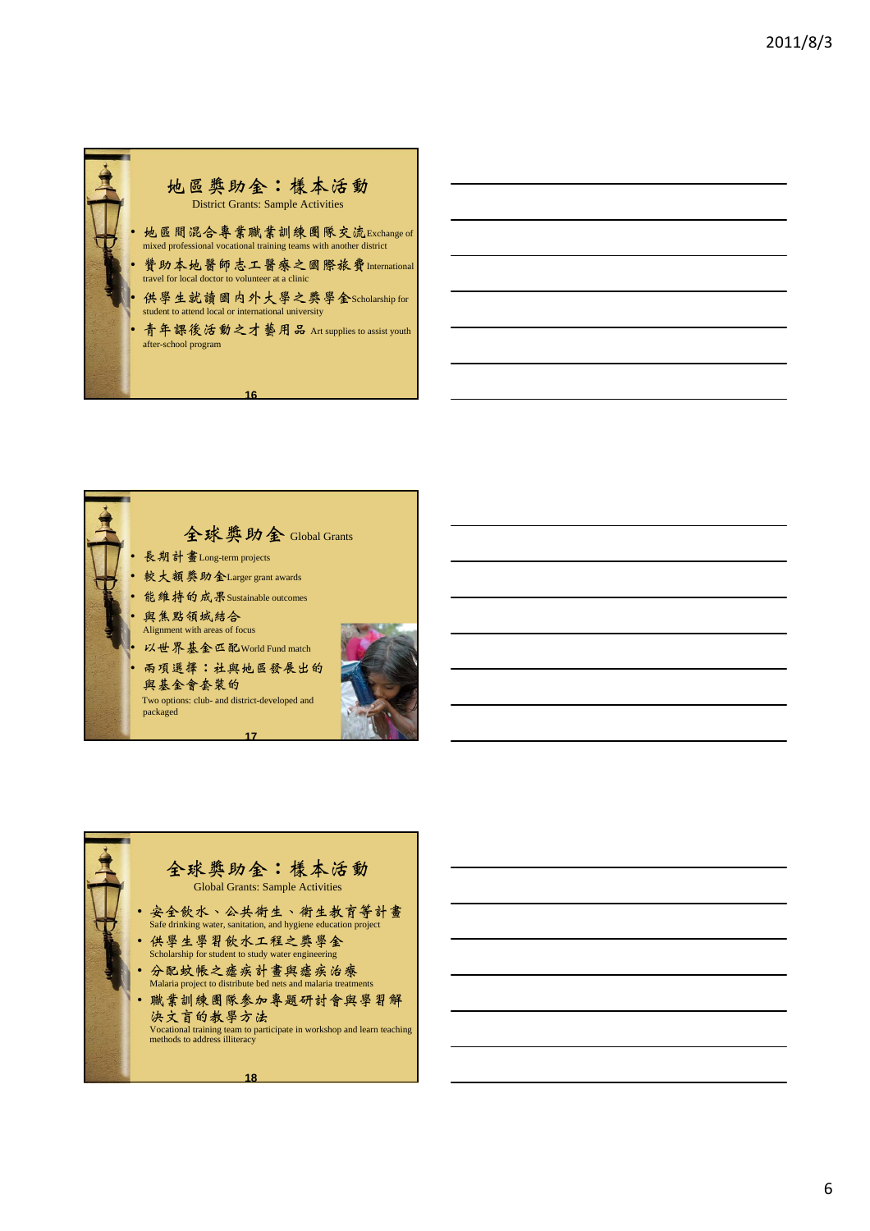



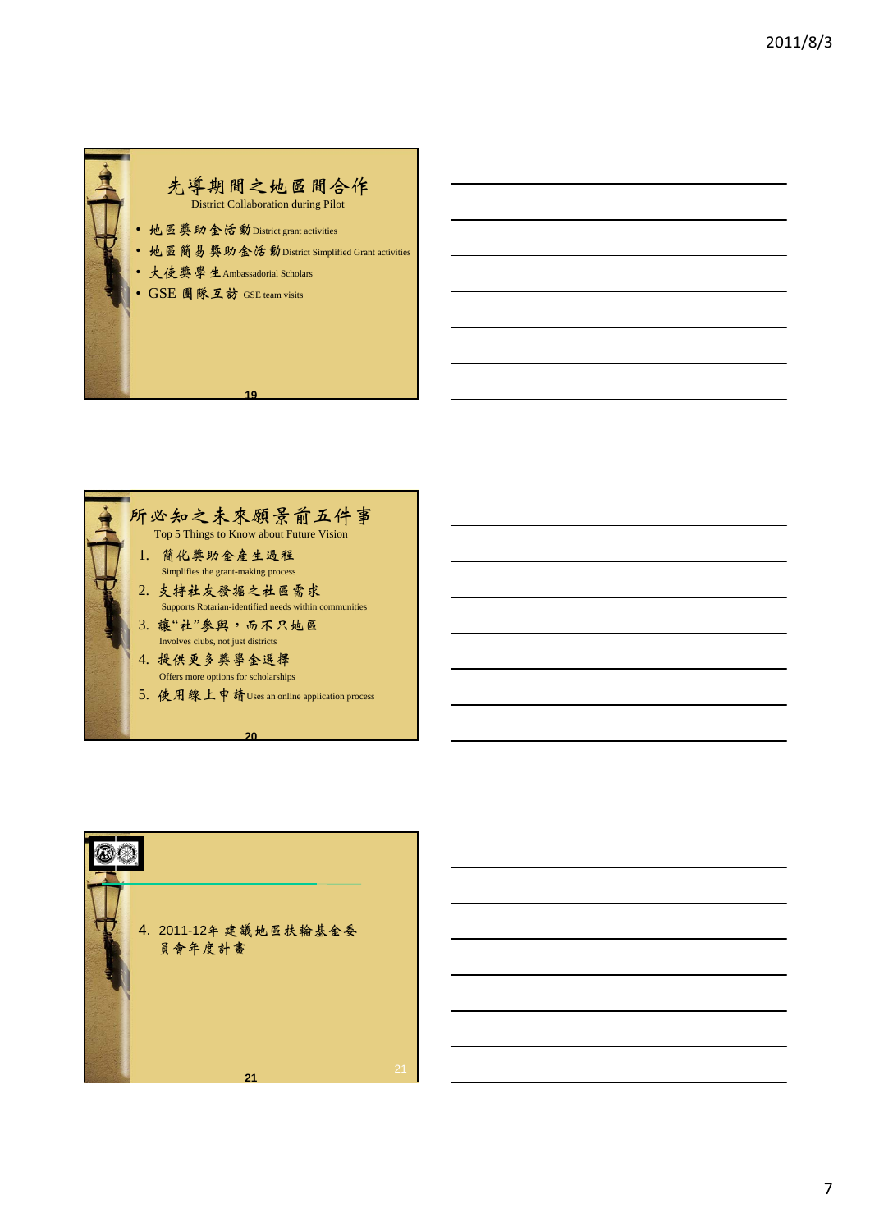





7